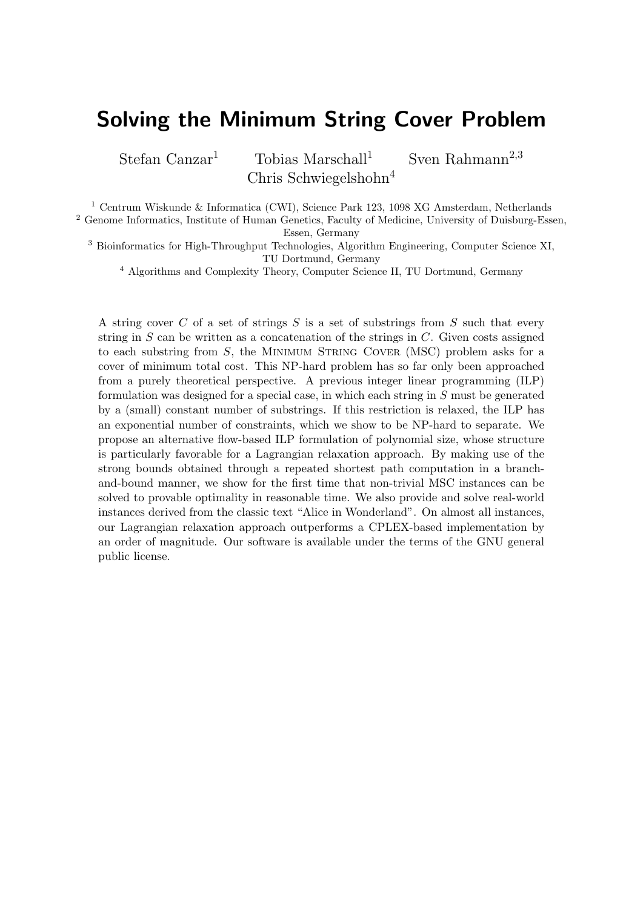# Solving the Minimum String Cover Problem

Stefan Canzar<sup>1</sup> Tobias Marschall<sup>1</sup> Sven Rahmann<sup>2,3</sup> Chris Schwiegelshohn<sup>4</sup>

<sup>1</sup> Centrum Wiskunde & Informatica (CWI), Science Park 123, 1098 XG Amsterdam, Netherlands

<sup>2</sup> Genome Informatics, Institute of Human Genetics, Faculty of Medicine, University of Duisburg-Essen, Essen, Germany

<sup>3</sup> Bioinformatics for High-Throughput Technologies, Algorithm Engineering, Computer Science XI, TU Dortmund, Germany

<sup>4</sup> Algorithms and Complexity Theory, Computer Science II, TU Dortmund, Germany

A string cover C of a set of strings S is a set of substrings from S such that every string in  $S$  can be written as a concatenation of the strings in  $C$ . Given costs assigned to each substring from  $S$ , the MINIMUM STRING COVER (MSC) problem asks for a cover of minimum total cost. This NP-hard problem has so far only been approached from a purely theoretical perspective. A previous integer linear programming (ILP) formulation was designed for a special case, in which each string in  $S$  must be generated by a (small) constant number of substrings. If this restriction is relaxed, the ILP has an exponential number of constraints, which we show to be NP-hard to separate. We propose an alternative flow-based ILP formulation of polynomial size, whose structure is particularly favorable for a Lagrangian relaxation approach. By making use of the strong bounds obtained through a repeated shortest path computation in a branchand-bound manner, we show for the first time that non-trivial MSC instances can be solved to provable optimality in reasonable time. We also provide and solve real-world instances derived from the classic text "Alice in Wonderland". On almost all instances, our Lagrangian relaxation approach outperforms a CPLEX-based implementation by an order of magnitude. Our software is available under the terms of the GNU general public license.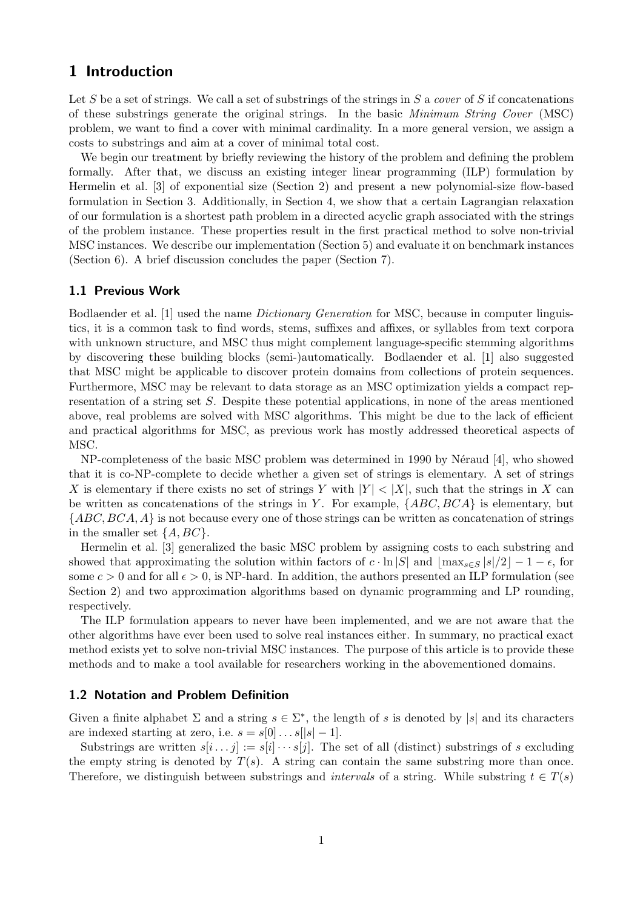# 1 Introduction

Let S be a set of strings. We call a set of substrings of the strings in S a cover of S if concatenations of these substrings generate the original strings. In the basic Minimum String Cover (MSC) problem, we want to find a cover with minimal cardinality. In a more general version, we assign a costs to substrings and aim at a cover of minimal total cost.

We begin our treatment by briefly reviewing the history of the problem and defining the problem formally. After that, we discuss an existing integer linear programming (ILP) formulation by Hermelin et al. [3] of exponential size (Section 2) and present a new polynomial-size flow-based formulation in Section 3. Additionally, in Section 4, we show that a certain Lagrangian relaxation of our formulation is a shortest path problem in a directed acyclic graph associated with the strings of the problem instance. These properties result in the first practical method to solve non-trivial MSC instances. We describe our implementation (Section 5) and evaluate it on benchmark instances (Section 6). A brief discussion concludes the paper (Section 7).

## 1.1 Previous Work

Bodlaender et al. [1] used the name *Dictionary Generation* for MSC, because in computer linguistics, it is a common task to find words, stems, suffixes and affixes, or syllables from text corpora with unknown structure, and MSC thus might complement language-specific stemming algorithms by discovering these building blocks (semi-)automatically. Bodlaender et al. [1] also suggested that MSC might be applicable to discover protein domains from collections of protein sequences. Furthermore, MSC may be relevant to data storage as an MSC optimization yields a compact representation of a string set S. Despite these potential applications, in none of the areas mentioned above, real problems are solved with MSC algorithms. This might be due to the lack of efficient and practical algorithms for MSC, as previous work has mostly addressed theoretical aspects of MSC.

NP-completeness of the basic MSC problem was determined in 1990 by Néraud [4], who showed that it is co-NP-complete to decide whether a given set of strings is elementary. A set of strings X is elementary if there exists no set of strings Y with  $|Y| < |X|$ , such that the strings in X can be written as concatenations of the strings in Y. For example,  $\{ABC, BCA\}$  is elementary, but  ${ABC, BCA, A}$  is not because every one of those strings can be written as concatenation of strings in the smaller set  $\{A, BC\}$ .

Hermelin et al. [3] generalized the basic MSC problem by assigning costs to each substring and showed that approximating the solution within factors of  $c \cdot \ln |S|$  and  $|\max_{s \in S} |s|/2|-1-\epsilon$ , for some  $c > 0$  and for all  $\epsilon > 0$ , is NP-hard. In addition, the authors presented an ILP formulation (see Section 2) and two approximation algorithms based on dynamic programming and LP rounding, respectively.

The ILP formulation appears to never have been implemented, and we are not aware that the other algorithms have ever been used to solve real instances either. In summary, no practical exact method exists yet to solve non-trivial MSC instances. The purpose of this article is to provide these methods and to make a tool available for researchers working in the abovementioned domains.

#### 1.2 Notation and Problem Definition

Given a finite alphabet  $\Sigma$  and a string  $s \in \Sigma^*$ , the length of s is denoted by |s| and its characters are indexed starting at zero, i.e.  $s = s[0] \dots s[|s|-1]$ .

Substrings are written  $s[i \dots j] := s[i] \cdots s[j]$ . The set of all (distinct) substrings of s excluding the empty string is denoted by  $T(s)$ . A string can contain the same substring more than once. Therefore, we distinguish between substrings and *intervals* of a string. While substring  $t \in T(s)$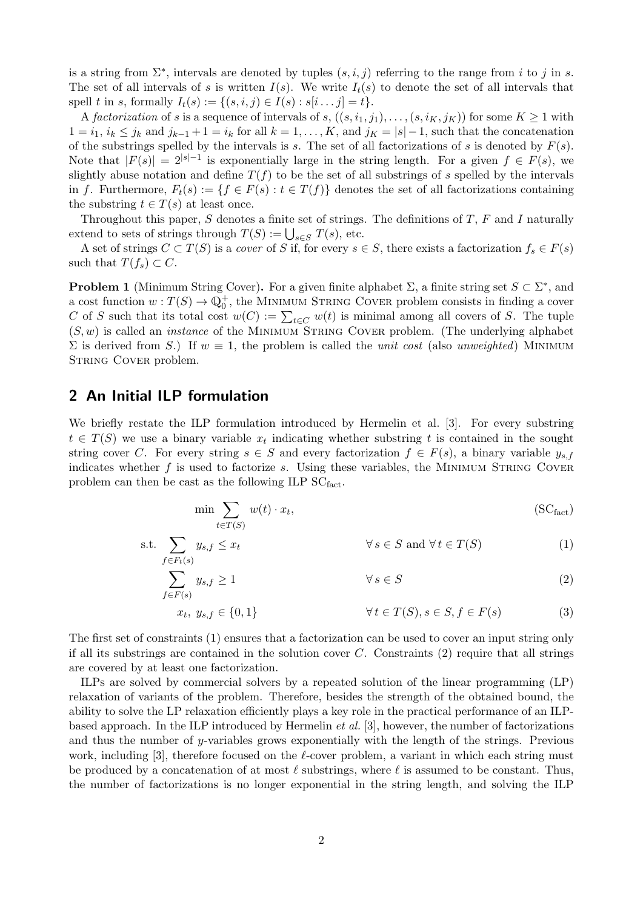is a string from  $\Sigma^*$ , intervals are denoted by tuples  $(s, i, j)$  referring to the range from i to j in s. The set of all intervals of s is written  $I(s)$ . We write  $I_t(s)$  to denote the set of all intervals that spell t in s, formally  $I_t(s) := \{(s, i, j) \in I(s) : s[i \dots j] = t\}.$ 

A factorization of s is a sequence of intervals of s,  $((s, i_1, j_1), \ldots, (s, i_K, j_K))$  for some  $K \geq 1$  with  $1 = i_1, i_k \leq j_k$  and  $j_{k-1} + 1 = i_k$  for all  $k = 1, \ldots, K$ , and  $j_K = |s| - 1$ , such that the concatenation of the substrings spelled by the intervals is s. The set of all factorizations of s is denoted by  $F(s)$ . Note that  $|F(s)| = 2^{|s|-1}$  is exponentially large in the string length. For a given  $f \in F(s)$ , we slightly abuse notation and define  $T(f)$  to be the set of all substrings of s spelled by the intervals in f. Furthermore,  $F_t(s) := \{f \in F(s) : t \in T(f)\}\$ denotes the set of all factorizations containing the substring  $t \in T(s)$  at least once.

Throughout this paper, S denotes a finite set of strings. The definitions of T, F and I naturally extend to sets of strings through  $T(S) := \bigcup_{s \in S} T(s)$ , etc.

A set of strings  $C \subset T(S)$  is a cover of S if, for every  $s \in S$ , there exists a factorization  $f_s \in F(s)$ such that  $T(f_s) \subset C$ .

**Problem 1** (Minimum String Cover). For a given finite alphabet  $\Sigma$ , a finite string set  $S \subset \Sigma^*$ , and a cost function  $w: T(S) \to \mathbb{Q}_0^+$ , the MINIMUM STRING COVER problem consists in finding a cover C of S such that its total cost  $w(C) := \sum_{t \in C} w(t)$  is minimal among all covers of S. The tuple  $(S, w)$  is called an *instance* of the MINIMUM STRING COVER problem. (The underlying alphabet  $\Sigma$  is derived from S.) If  $w \equiv 1$ , the problem is called the *unit cost* (also *unweighted*) MINIMUM STRING COVER problem.

# 2 An Initial ILP formulation

We briefly restate the ILP formulation introduced by Hermelin et al. [3]. For every substring  $t \in T(S)$  we use a binary variable  $x_t$  indicating whether substring t is contained in the sought string cover C. For every string  $s \in S$  and every factorization  $f \in F(s)$ , a binary variable  $y_{s,f}$ indicates whether  $f$  is used to factorize  $s$ . Using these variables, the MINIMUM STRING COVER problem can then be cast as the following ILP  $SC_{fact}$ .

$$
\min \sum_{t \in T(S)} w(t) \cdot x_t,
$$
\n(SC<sub>fact</sub>)

$$
\text{s.t.} \sum_{f \in F_t(s)} y_{s,f} \le x_t \qquad \forall \, s \in S \text{ and } \forall \, t \in T(S) \tag{1}
$$

$$
\sum_{f \in F(s)} y_{s,f} \ge 1 \qquad \forall s \in S \tag{2}
$$

$$
x_t, y_{s,f} \in \{0,1\} \qquad \forall t \in T(S), s \in S, f \in F(s) \tag{3}
$$

The first set of constraints (1) ensures that a factorization can be used to cover an input string only if all its substrings are contained in the solution cover  $C$ . Constraints (2) require that all strings are covered by at least one factorization.

ILPs are solved by commercial solvers by a repeated solution of the linear programming (LP) relaxation of variants of the problem. Therefore, besides the strength of the obtained bound, the ability to solve the LP relaxation efficiently plays a key role in the practical performance of an ILPbased approach. In the ILP introduced by Hermelin et al. [3], however, the number of factorizations and thus the number of y-variables grows exponentially with the length of the strings. Previous work, including [3], therefore focused on the  $\ell$ -cover problem, a variant in which each string must be produced by a concatenation of at most  $\ell$  substrings, where  $\ell$  is assumed to be constant. Thus, the number of factorizations is no longer exponential in the string length, and solving the ILP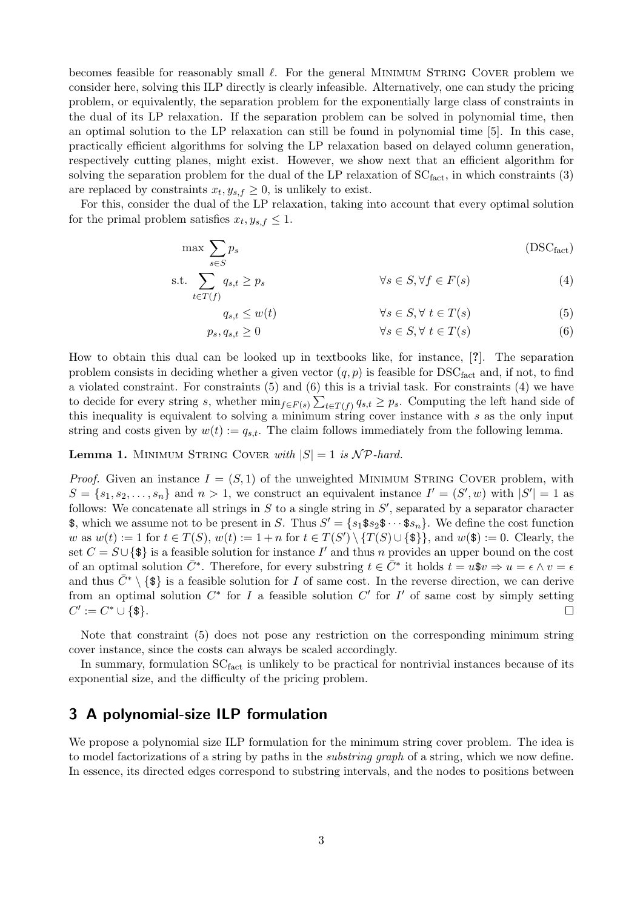becomes feasible for reasonably small  $\ell$ . For the general MINIMUM STRING COVER problem we consider here, solving this ILP directly is clearly infeasible. Alternatively, one can study the pricing problem, or equivalently, the separation problem for the exponentially large class of constraints in the dual of its LP relaxation. If the separation problem can be solved in polynomial time, then an optimal solution to the LP relaxation can still be found in polynomial time [5]. In this case, practically efficient algorithms for solving the LP relaxation based on delayed column generation, respectively cutting planes, might exist. However, we show next that an efficient algorithm for solving the separation problem for the dual of the LP relaxation of  $SC<sub>fact</sub>$ , in which constraints (3) are replaced by constraints  $x_t, y_{s,f} \geq 0$ , is unlikely to exist.

For this, consider the dual of the LP relaxation, taking into account that every optimal solution for the primal problem satisfies  $x_t, y_{s,f} \leq 1$ .

$$
\max \sum_{s \in S} p_s \tag{DSC}_{\text{fact}}
$$

$$
\text{s.t.} \sum_{t \in T(f)} q_{s,t} \ge p_s \qquad \forall s \in S, \forall f \in F(s) \tag{4}
$$

$$
q_{s,t} \le w(t) \qquad \qquad \forall s \in S, \forall \ t \in T(s) \tag{5}
$$

$$
p_s, q_{s,t} \ge 0 \qquad \qquad \forall s \in S, \forall \ t \in T(s) \tag{6}
$$

How to obtain this dual can be looked up in textbooks like, for instance, [?]. The separation problem consists in deciding whether a given vector  $(q, p)$  is feasible for  $DSC<sub>fact</sub>$  and, if not, to find a violated constraint. For constraints (5) and (6) this is a trivial task. For constraints (4) we have to decide for every string s, whether  $\min_{f \in F(s)} \sum_{t \in T(f)} q_{s,t} \geq p_s$ . Computing the left hand side of this inequality is equivalent to solving a minimum string cover instance with s as the only input string and costs given by  $w(t) := q_{s,t}$ . The claim follows immediately from the following lemma.

**Lemma 1.** MINIMUM STRING COVER with  $|S| = 1$  is  $\mathcal{NP}$ -hard.

*Proof.* Given an instance  $I = (S, 1)$  of the unweighted MINIMUM STRING COVER problem, with  $S = \{s_1, s_2, \ldots, s_n\}$  and  $n > 1$ , we construct an equivalent instance  $I' = (S', w)$  with  $|S'| = 1$  as follows: We concatenate all strings in  $S$  to a single string in  $S'$ , separated by a separator character \$, which we assume not to be present in S. Thus  $S' = \{s_1 \text{${\$}} s_2 \text{${\$}} \cdots \text{${\$}} s_n\}$ . We define the cost function w as  $w(t) := 1$  for  $t \in T(S)$ ,  $w(t) := 1 + n$  for  $t \in T(S') \setminus \{T(S) \cup \{\$\}\}\$ , and  $w(\$\) := 0$ . Clearly, the set  $C = S \cup {\{\$\}$  is a feasible solution for instance I' and thus n provides an upper bound on the cost of an optimal solution  $\overline{C}^*$ . Therefore, for every substring  $t \in \overline{C}^*$  it holds  $t = u$ \$ $v \Rightarrow u = \epsilon \wedge v = \epsilon$ and thus  $\bar{C}^* \setminus \{\$\}$  is a feasible solution for I of same cost. In the reverse direction, we can derive from an optimal solution  $C^*$  for I a feasible solution  $C'$  for I' of same cost by simply setting  $C' := C^* \cup \{\$\}.$  $\Box$ 

Note that constraint (5) does not pose any restriction on the corresponding minimum string cover instance, since the costs can always be scaled accordingly.

In summary, formulation  $SC<sub>fact</sub>$  is unlikely to be practical for nontrivial instances because of its exponential size, and the difficulty of the pricing problem.

# 3 A polynomial-size ILP formulation

We propose a polynomial size ILP formulation for the minimum string cover problem. The idea is to model factorizations of a string by paths in the *substring graph* of a string, which we now define. In essence, its directed edges correspond to substring intervals, and the nodes to positions between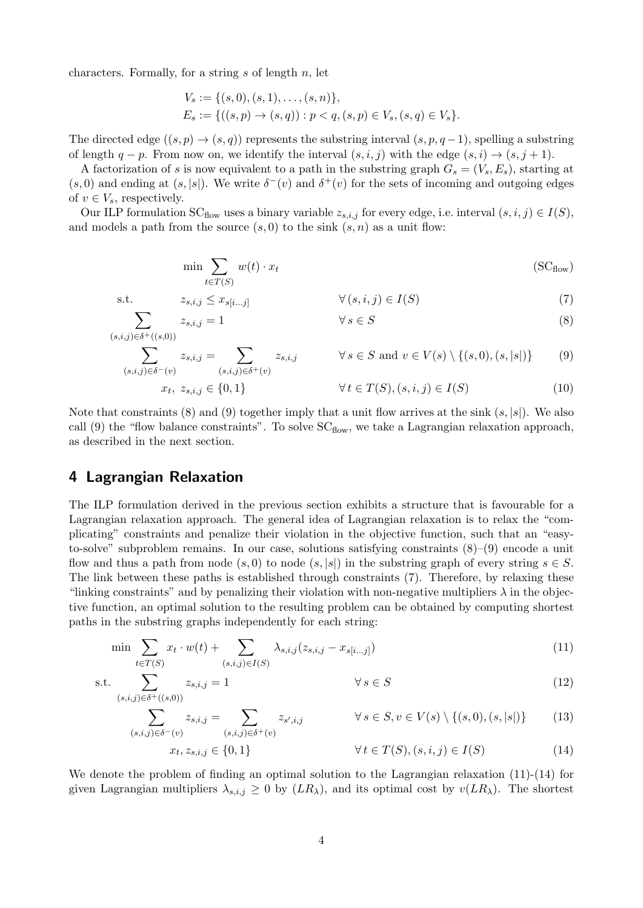characters. Formally, for a string  $s$  of length  $n$ , let

$$
V_s := \{ (s, 0), (s, 1), \dots, (s, n) \},
$$
  
\n
$$
E_s := \{ ((s, p) \to (s, q)) : p < q, (s, p) \in V_s, (s, q) \in V_s \}.
$$

The directed edge  $((s, p) \rightarrow (s, q))$  represents the substring interval  $(s, p, q - 1)$ , spelling a substring of length  $q - p$ . From now on, we identify the interval  $(s, i, j)$  with the edge  $(s, i) \rightarrow (s, j + 1)$ .

A factorization of s is now equivalent to a path in the substring graph  $G_s = (V_s, E_s)$ , starting at  $(s, 0)$  and ending at  $(s, |s|)$ . We write  $\delta^-(v)$  and  $\delta^+(v)$  for the sets of incoming and outgoing edges of  $v \in V_s$ , respectively.

Our ILP formulation  $SC_{flow}$  uses a binary variable  $z_{s,i,j}$  for every edge, i.e. interval  $(s, i, j) \in I(S)$ , and models a path from the source  $(s, 0)$  to the sink  $(s, n)$  as a unit flow:

$$
\min \sum_{t \in T(S)} w(t) \cdot x_t \tag{SCflow}
$$

s.t. 
$$
z_{s,i,j} \leq x_{s[i...j]}
$$
  $\forall (s,i,j) \in I(S)$  (7)

$$
\sum_{(s,i,j)\in\delta^+((s,0))} z_{s,i,j} = 1 \qquad \forall s \in S \tag{8}
$$

$$
\sum_{(s,i,j)\in\delta^-(v)} z_{s,i,j} = \sum_{(s,i,j)\in\delta^+(v)} z_{s,i,j} \qquad \forall s \in S \text{ and } v \in V(s) \setminus \{(s,0), (s,|s|)\} \tag{9}
$$
  

$$
x_t, z_{s,i,j} \in \{0,1\} \qquad \forall t \in T(S), (s,i,j) \in I(S) \tag{10}
$$

Note that constraints (8) and (9) together imply that a unit flow arrives at the sink 
$$
(s, |s|)
$$
. We also call (9) the "flow balance constraints". To solve SC<sub>flow</sub>, we take a Lagrangian relaxation approach, as described in the next section.

# 4 Lagrangian Relaxation

The ILP formulation derived in the previous section exhibits a structure that is favourable for a Lagrangian relaxation approach. The general idea of Lagrangian relaxation is to relax the "complicating" constraints and penalize their violation in the objective function, such that an "easyto-solve" subproblem remains. In our case, solutions satisfying constraints  $(8)-(9)$  encode a unit flow and thus a path from node  $(s, 0)$  to node  $(s, |s|)$  in the substring graph of every string  $s \in S$ . The link between these paths is established through constraints (7). Therefore, by relaxing these "linking constraints" and by penalizing their violation with non-negative multipliers  $\lambda$  in the objective function, an optimal solution to the resulting problem can be obtained by computing shortest paths in the substring graphs independently for each string:

$$
\min \sum_{t \in T(S)} x_t \cdot w(t) + \sum_{(s,i,j) \in I(S)} \lambda_{s,i,j} (z_{s,i,j} - x_{s[i...j]}) \tag{11}
$$

$$
\text{s.t.} \sum_{(s,i,j)\in\delta^+((s,0))} z_{s,i,j} = 1 \qquad \forall s \in S \tag{12}
$$

$$
\sum_{(s,i,j)\in\delta^-(v)} z_{s,i,j} = \sum_{(s,i,j)\in\delta^+(v)} z_{s',i,j} \qquad \forall s \in S, v \in V(s) \setminus \{(s,0), (s,|s|)\} \tag{13}
$$

$$
x_t, z_{s,i,j} \in \{0, 1\} \qquad \forall \, t \in T(S), (s, i, j) \in I(S) \tag{14}
$$

We denote the problem of finding an optimal solution to the Lagrangian relaxation (11)-(14) for given Lagrangian multipliers  $\lambda_{s,i,j} \geq 0$  by  $(LR_\lambda)$ , and its optimal cost by  $v(LR_\lambda)$ . The shortest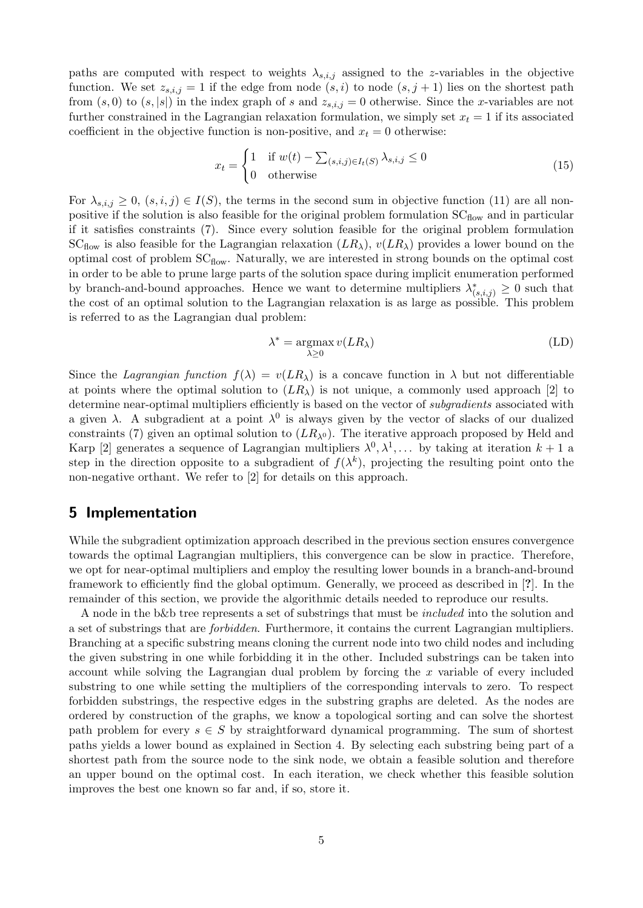paths are computed with respect to weights  $\lambda_{s,i,j}$  assigned to the z-variables in the objective function. We set  $z_{s,i,j} = 1$  if the edge from node  $(s, i)$  to node  $(s, j + 1)$  lies on the shortest path from  $(s, 0)$  to  $(s, |s|)$  in the index graph of s and  $z_{s,i,j} = 0$  otherwise. Since the x-variables are not further constrained in the Lagrangian relaxation formulation, we simply set  $x_t = 1$  if its associated coefficient in the objective function is non-positive, and  $x_t = 0$  otherwise:

$$
x_t = \begin{cases} 1 & \text{if } w(t) - \sum_{(s,i,j)\in I_t(S)} \lambda_{s,i,j} \le 0 \\ 0 & \text{otherwise} \end{cases}
$$
(15)

For  $\lambda_{s,i,j} \geq 0$ ,  $(s,i,j) \in I(S)$ , the terms in the second sum in objective function (11) are all nonpositive if the solution is also feasible for the original problem formulation  $SC_{flow}$  and in particular if it satisfies constraints (7). Since every solution feasible for the original problem formulation  $SC<sub>flow</sub>$  is also feasible for the Lagrangian relaxation  $(LR<sub>\lambda</sub>)$ ,  $v(LR<sub>\lambda</sub>)$  provides a lower bound on the optimal cost of problem  $SC<sub>flow</sub>$ . Naturally, we are interested in strong bounds on the optimal cost in order to be able to prune large parts of the solution space during implicit enumeration performed by branch-and-bound approaches. Hence we want to determine multipliers  $\lambda^*_{(s,i,j)} \geq 0$  such that the cost of an optimal solution to the Lagrangian relaxation is as large as possible. This problem is referred to as the Lagrangian dual problem:

$$
\lambda^* = \operatorname*{argmax}_{\lambda \ge 0} v(LR_{\lambda})
$$
 (LD)

Since the Lagrangian function  $f(\lambda) = v(LR_\lambda)$  is a concave function in  $\lambda$  but not differentiable at points where the optimal solution to  $(LR<sub>\lambda</sub>)$  is not unique, a commonly used approach [2] to determine near-optimal multipliers efficiently is based on the vector of *subgradients* associated with a given  $\lambda$ . A subgradient at a point  $\lambda^0$  is always given by the vector of slacks of our dualized constraints (7) given an optimal solution to  $(LR_{\lambda^0})$ . The iterative approach proposed by Held and Karp [2] generates a sequence of Lagrangian multipliers  $\lambda^0, \lambda^1, \dots$  by taking at iteration  $k+1$  a step in the direction opposite to a subgradient of  $f(\lambda^k)$ , projecting the resulting point onto the non-negative orthant. We refer to [2] for details on this approach.

## 5 Implementation

While the subgradient optimization approach described in the previous section ensures convergence towards the optimal Lagrangian multipliers, this convergence can be slow in practice. Therefore, we opt for near-optimal multipliers and employ the resulting lower bounds in a branch-and-bround framework to efficiently find the global optimum. Generally, we proceed as described in [?]. In the remainder of this section, we provide the algorithmic details needed to reproduce our results.

A node in the b&b tree represents a set of substrings that must be included into the solution and a set of substrings that are forbidden. Furthermore, it contains the current Lagrangian multipliers. Branching at a specific substring means cloning the current node into two child nodes and including the given substring in one while forbidding it in the other. Included substrings can be taken into account while solving the Lagrangian dual problem by forcing the  $x$  variable of every included substring to one while setting the multipliers of the corresponding intervals to zero. To respect forbidden substrings, the respective edges in the substring graphs are deleted. As the nodes are ordered by construction of the graphs, we know a topological sorting and can solve the shortest path problem for every  $s \in S$  by straightforward dynamical programming. The sum of shortest paths yields a lower bound as explained in Section 4. By selecting each substring being part of a shortest path from the source node to the sink node, we obtain a feasible solution and therefore an upper bound on the optimal cost. In each iteration, we check whether this feasible solution improves the best one known so far and, if so, store it.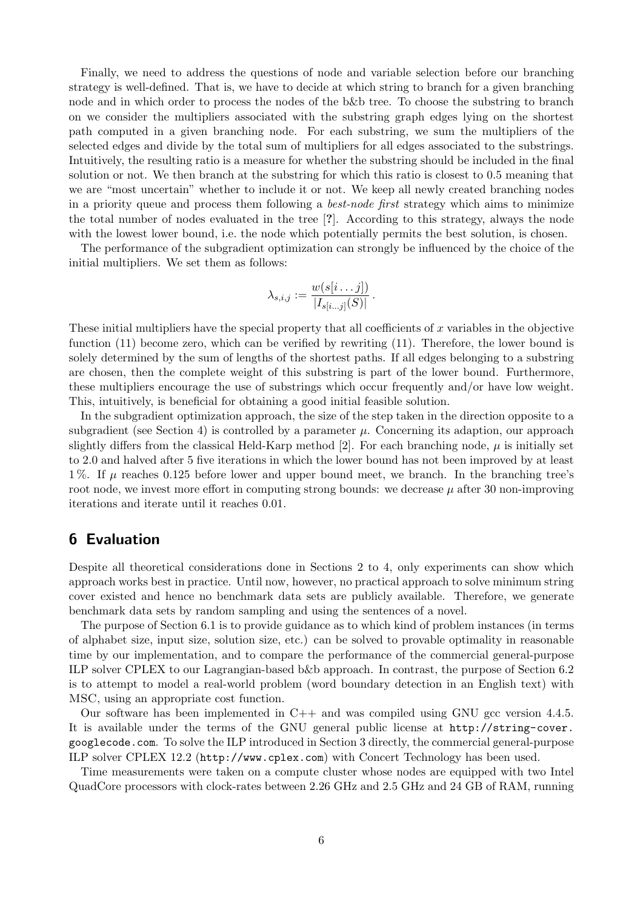Finally, we need to address the questions of node and variable selection before our branching strategy is well-defined. That is, we have to decide at which string to branch for a given branching node and in which order to process the nodes of the b&b tree. To choose the substring to branch on we consider the multipliers associated with the substring graph edges lying on the shortest path computed in a given branching node. For each substring, we sum the multipliers of the selected edges and divide by the total sum of multipliers for all edges associated to the substrings. Intuitively, the resulting ratio is a measure for whether the substring should be included in the final solution or not. We then branch at the substring for which this ratio is closest to 0.5 meaning that we are "most uncertain" whether to include it or not. We keep all newly created branching nodes in a priority queue and process them following a best-node first strategy which aims to minimize the total number of nodes evaluated in the tree [?]. According to this strategy, always the node with the lowest lower bound, i.e. the node which potentially permits the best solution, is chosen.

The performance of the subgradient optimization can strongly be influenced by the choice of the initial multipliers. We set them as follows:

$$
\lambda_{s,i,j} := \frac{w(s[i \dots j])}{|I_{s[i \dots j]}(S)|}.
$$

These initial multipliers have the special property that all coefficients of x variables in the objective function (11) become zero, which can be verified by rewriting (11). Therefore, the lower bound is solely determined by the sum of lengths of the shortest paths. If all edges belonging to a substring are chosen, then the complete weight of this substring is part of the lower bound. Furthermore, these multipliers encourage the use of substrings which occur frequently and/or have low weight. This, intuitively, is beneficial for obtaining a good initial feasible solution.

In the subgradient optimization approach, the size of the step taken in the direction opposite to a subgradient (see Section 4) is controlled by a parameter  $\mu$ . Concerning its adaption, our approach slightly differs from the classical Held-Karp method [2]. For each branching node,  $\mu$  is initially set to 2.0 and halved after 5 five iterations in which the lower bound has not been improved by at least 1%. If  $\mu$  reaches 0.125 before lower and upper bound meet, we branch. In the branching tree's root node, we invest more effort in computing strong bounds: we decrease  $\mu$  after 30 non-improving iterations and iterate until it reaches 0.01.

# 6 Evaluation

Despite all theoretical considerations done in Sections 2 to 4, only experiments can show which approach works best in practice. Until now, however, no practical approach to solve minimum string cover existed and hence no benchmark data sets are publicly available. Therefore, we generate benchmark data sets by random sampling and using the sentences of a novel.

The purpose of Section 6.1 is to provide guidance as to which kind of problem instances (in terms of alphabet size, input size, solution size, etc.) can be solved to provable optimality in reasonable time by our implementation, and to compare the performance of the commercial general-purpose ILP solver CPLEX to our Lagrangian-based b&b approach. In contrast, the purpose of Section 6.2 is to attempt to model a real-world problem (word boundary detection in an English text) with MSC, using an appropriate cost function.

Our software has been implemented in  $C++$  and was compiled using GNU gcc version 4.4.5. It is available under the terms of the GNU general public license at http://string-cover. googlecode.com. To solve the ILP introduced in Section 3 directly, the commercial general-purpose ILP solver CPLEX 12.2 (http://www.cplex.com) with Concert Technology has been used.

Time measurements were taken on a compute cluster whose nodes are equipped with two Intel QuadCore processors with clock-rates between 2.26 GHz and 2.5 GHz and 24 GB of RAM, running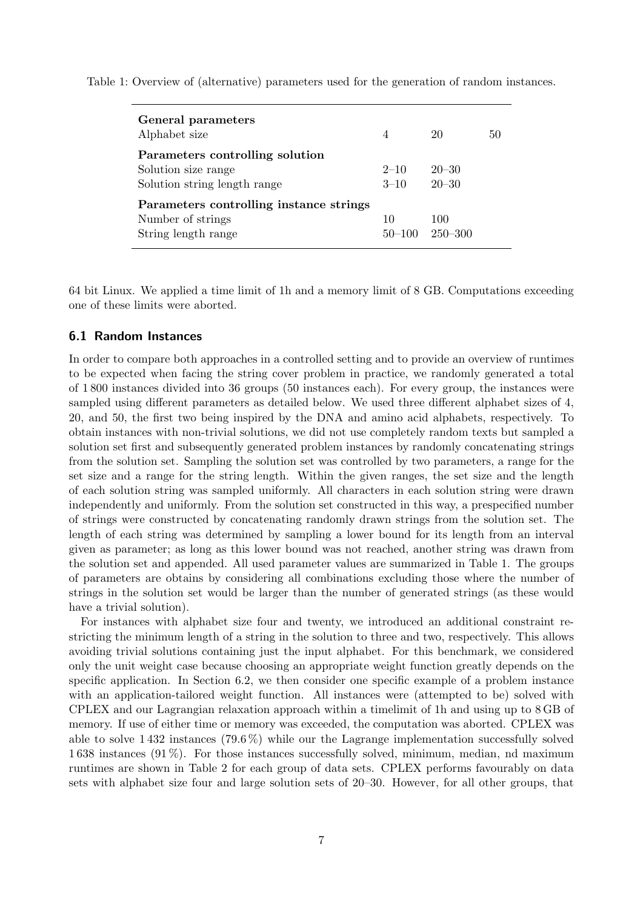Table 1: Overview of (alternative) parameters used for the generation of random instances.

| General parameters<br>Alphabet size                                                    | $\overline{4}$       | 20                     | 50 |
|----------------------------------------------------------------------------------------|----------------------|------------------------|----|
| Parameters controlling solution<br>Solution size range<br>Solution string length range | $2 - 10$<br>$3 - 10$ | $20 - 30$<br>$20 - 30$ |    |
| Parameters controlling instance strings<br>Number of strings<br>String length range    | 10<br>$50 - 100$     | 100<br>$-250 - 300$    |    |

64 bit Linux. We applied a time limit of 1h and a memory limit of 8 GB. Computations exceeding one of these limits were aborted.

## 6.1 Random Instances

In order to compare both approaches in a controlled setting and to provide an overview of runtimes to be expected when facing the string cover problem in practice, we randomly generated a total of 1 800 instances divided into 36 groups (50 instances each). For every group, the instances were sampled using different parameters as detailed below. We used three different alphabet sizes of 4, 20, and 50, the first two being inspired by the DNA and amino acid alphabets, respectively. To obtain instances with non-trivial solutions, we did not use completely random texts but sampled a solution set first and subsequently generated problem instances by randomly concatenating strings from the solution set. Sampling the solution set was controlled by two parameters, a range for the set size and a range for the string length. Within the given ranges, the set size and the length of each solution string was sampled uniformly. All characters in each solution string were drawn independently and uniformly. From the solution set constructed in this way, a prespecified number of strings were constructed by concatenating randomly drawn strings from the solution set. The length of each string was determined by sampling a lower bound for its length from an interval given as parameter; as long as this lower bound was not reached, another string was drawn from the solution set and appended. All used parameter values are summarized in Table 1. The groups of parameters are obtains by considering all combinations excluding those where the number of strings in the solution set would be larger than the number of generated strings (as these would have a trivial solution).

For instances with alphabet size four and twenty, we introduced an additional constraint restricting the minimum length of a string in the solution to three and two, respectively. This allows avoiding trivial solutions containing just the input alphabet. For this benchmark, we considered only the unit weight case because choosing an appropriate weight function greatly depends on the specific application. In Section 6.2, we then consider one specific example of a problem instance with an application-tailored weight function. All instances were (attempted to be) solved with CPLEX and our Lagrangian relaxation approach within a timelimit of 1h and using up to 8 GB of memory. If use of either time or memory was exceeded, the computation was aborted. CPLEX was able to solve 1 432 instances (79.6 %) while our the Lagrange implementation successfully solved 1 638 instances (91 %). For those instances successfully solved, minimum, median, nd maximum runtimes are shown in Table 2 for each group of data sets. CPLEX performs favourably on data sets with alphabet size four and large solution sets of 20–30. However, for all other groups, that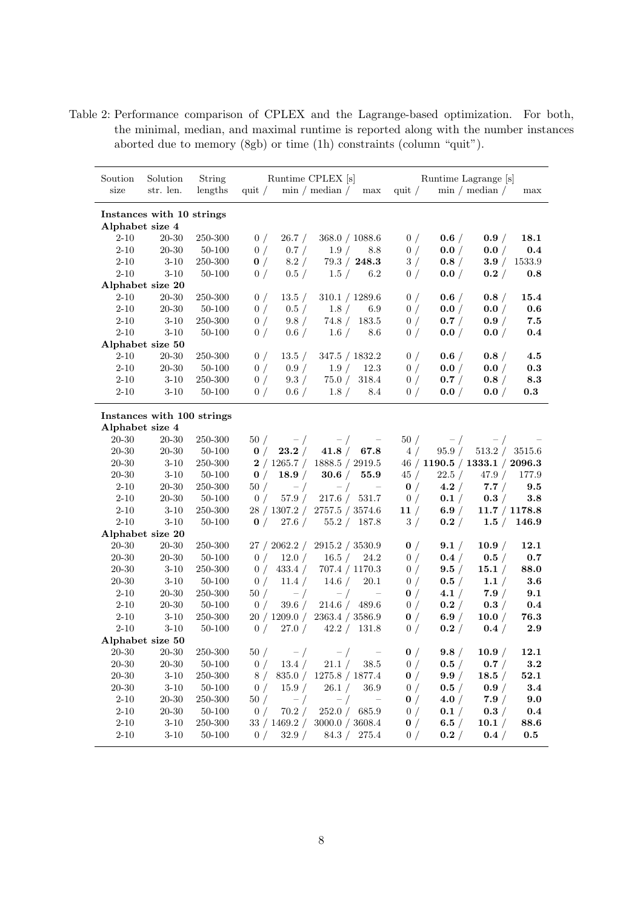Table 2: Performance comparison of CPLEX and the Lagrange-based optimization. For both, the minimal, median, and maximal runtime is reported along with the number instances aborted due to memory (8gb) or time (1h) constraints (column "quit").

| Soution                                      | Solution                   | String            | Runtime CPLEX [s] |                 | Runtime Lagrange [s]                        |            |                      |           |                               |         |
|----------------------------------------------|----------------------------|-------------------|-------------------|-----------------|---------------------------------------------|------------|----------------------|-----------|-------------------------------|---------|
| size                                         | str. len.                  | lengths           | quit $\sqrt{ }$   |                 | $\min / \text{median} /$                    | max        | quit $\sqrt{ }$      |           | $\min / \mathrm{median} /$    | max     |
|                                              |                            |                   |                   |                 |                                             |            |                      |           |                               |         |
| Instances with 10 strings<br>Alphabet size 4 |                            |                   |                   |                 |                                             |            |                      |           |                               |         |
| $2 - 10$                                     | 20-30                      | 250-300           | 0/                | 26.7 /          | 368.0 / 1088.6                              |            | 0/                   | 0.6 /     | 0.9 /                         | 18.1    |
| $2 - 10$                                     | $20 - 30$                  | 50-100            | 0/                | 0.7 /           | 1.9/                                        | 8.8        | 0/                   | 0.0 /     | 0.0 /                         | 0.4     |
| $2 - 10$                                     | $3\mbox{-}10$              | 250-300           | 0/                | 8.2 /           | 79.3 / 248.3                                |            | 3/                   | 0.8/      | 3.9 /                         | 1533.9  |
| $2 - 10$                                     | $3 - 10$                   | 50-100            | 0/                | 0.5/            | 1.5/                                        | 6.2        | 0/                   | 0.0 /     | 0.2 /                         | 0.8     |
| Alphabet size 20                             |                            |                   |                   |                 |                                             |            |                      |           |                               |         |
| $2 - 10$                                     | 20-30                      | 250-300           | 0/                | 13.5 /          | 310.1 / 1289.6                              |            | 0/                   | 0.6 /     | 0.8/                          | 15.4    |
| $2 - 10$                                     | $20 - 30$                  | 50-100            | 0/                | 0.5/            | 1.8/                                        | 6.9        | 0/                   | 0.0 /     | 0.0 /                         | 0.6     |
| $2 - 10$                                     | $3 - 10$                   | 250-300           | 0/                | 9.8/            | 74.8 / 183.5                                |            | 0/                   | 0.7 /     | 0.9/                          | 7.5     |
| $2 - 10$                                     | $3 - 10$                   | 50-100            | 0/                | 0.6/            | 1.6/                                        | 8.6        | 0/                   | 0.0 /     | 0.0 /                         | 0.4     |
|                                              | Alphabet size 50           |                   |                   |                 |                                             |            |                      |           |                               |         |
| $2 - 10$                                     | $20 - 30$                  | 250-300           | 0/                | 13.5 /          | 347.5 / 1832.2                              |            | 0/                   | 0.6/      | 0.8/                          | 4.5     |
| $2 - 10$                                     | $20 - 30$                  | 50-100            | 0/                | 0.9 /           | 1.9/                                        | 12.3       | 0/                   | 0.0 /     | 0.0 /                         | 0.3     |
| $2 - 10$                                     | $3 - 10$                   | 250-300           | 0/                | 9.3 /           | 75.0 /                                      | 318.4      | 0/                   | 0.7 /     | 0.8/                          | 8.3     |
| $2 - 10$                                     | $3 - 10$                   | 50-100            | 0/                | 0.6/            | 1.8/                                        | 8.4        | 0/                   | 0.0 /     | 0.0 /                         | 0.3     |
|                                              |                            |                   |                   |                 |                                             |            |                      |           |                               |         |
|                                              | Instances with 100 strings |                   |                   |                 |                                             |            |                      |           |                               |         |
| Alphabet size 4                              |                            |                   |                   |                 |                                             |            |                      |           |                               |         |
| 20-30<br>20-30                               | 20-30                      | 250-300           | 50/               | $-$ /<br>23.2 / | $-$ /                                       |            | 50/                  | $-$ /     | $-$ /<br>513.2 / 3515.6       |         |
|                                              | $20 - 30$<br>$3 - 10$      | 50-100            | $\mathbf{0}$ /    |                 | 41.8 / 67.8<br>2 / 1265.7 / 1888.5 / 2919.5 |            | 4/                   | 95.9 /    | 46 / 1190.5 / 1333.1 / 2096.3 |         |
| 20-30<br>20-30                               | $3 - 10$                   | 250-300<br>50-100 | $\mathbf{0}$ /    | 18.9/           | 30.6 / 55.9                                 |            | 45/                  | 22.5 /    | 47.9/                         | 177.9   |
| $2 - 10$                                     | $20 - 30$                  | 250-300           | 50/               |                 |                                             |            |                      | 4.2 /     | 7.7/                          | 9.5     |
| $2 - 10$                                     | $20 - 30$                  | 50-100            | 0/                | $-$ /<br>57.9/  | $-$ /<br>217.6 / 531.7                      | $\sim$ $-$ | $\mathbf{0}$ /<br>0/ | 0.1 /     | 0.3 /                         | 3.8     |
| $2 - 10$                                     | $3 - 10$                   | 250-300           |                   |                 | 28 / 1307.2 / 2757.5 / 3574.6               |            | 11/                  | 6.9 /     | 11.7 / 1178.8                 |         |
| $2 - 10$                                     | $3 - 10$                   | 50-100            | $\mathbf{0}$ /    |                 | 27.6 / 55.2 / 187.8                         |            | 3/                   | 0.2 /     | $1.5\; / \quad 146.9$         |         |
|                                              | Alphabet size 20           |                   |                   |                 |                                             |            |                      |           |                               |         |
| 20-30                                        | $20 - 30$                  | 250-300           |                   | 27 / 2062.2 /   | 2915.2 / 3530.9                             |            | $\mathbf{0}$ /       | 9.1 /     | 10.9/                         | 12.1    |
| 20-30                                        | 20-30                      | 50-100            | 0/                | 12.0/           | 16.5 /                                      | 24.2       | 0/                   | 0.4 /     | 0.5/                          | 0.7     |
| 20-30                                        | $3-10$                     | 250-300           | 0/                | 433.4 /         | 707.4 / 1170.3                              |            | 0/                   | 9.5 /     | 15.1 /                        | 88.0    |
| $20 - 30$                                    | $3 - 10$                   | 50-100            | 0/                | 11.4/           | 14.6/                                       | 20.1       | 0/                   | 0.5/      | 1.1 /                         | 3.6     |
| $2 - 10$                                     | $20 - 30$                  | 250-300           | 50/               | $-$ /           | $-$ /                                       | $\sim$ $-$ | $\mathbf{0}$ /       | 4.1 /     | 7.9/                          | 9.1     |
| $2 - 10$                                     | $20 - 30$                  | 50-100            | 0/                | 39.6 /          | 214.6 / 489.6                               |            | 0/                   | 0.2 /     | 0.3 /                         | $0.4\,$ |
| $2 - 10$                                     | $3 - 10$                   | 250-300           |                   | 20/1209.0/      | 2363.4 / 3586.9                             |            | $\mathbf{0}$ /       | 6.9/      | 10.0 /                        | 76.3    |
| $2 - 10$                                     | $3 - 10$                   | 50-100            | 0/                | 27.0 /          | 42.2 / 131.8                                |            | 0/                   | 0.2 /     | 0.4/                          | 2.9     |
| Alphabet size 50                             |                            |                   |                   |                 |                                             |            |                      |           |                               |         |
| 20-30                                        | 20-30                      | 250-300           | 50/               | $-$ /           | $-$ /                                       | $\sim$ $-$ | $\mathbf{0}$ /       | 9.8/      | 10.9 /                        | 12.1    |
| $20\hbox{-}30$                               | $20\hbox{-}30$             | $50 - 100$        | 0/                | 13.4 /          | 21.1 /                                      | $38.5\,$   | 0/                   | $0.5\; /$ | 0.7 /                         | $3.2\,$ |
| $20 - 30$                                    | $3 - 10$                   | 250-300           | 8/                |                 | 835.0 / 1275.8 / 1877.4                     |            | $\mathbf{0}$ /       | 9.9 /     | 18.5/                         | 52.1    |
| $20 - 30$                                    | $3 - 10$                   | 50-100            | 0/                | 15.9/           | 26.1 /                                      | 36.9       | 0/                   | 0.5 /     | 0.9 /                         | 3.4     |
| $2 - 10$                                     | $20\hbox{-}30$             | $250\hbox{-}300$  | 50/               | $-$ /           | $-$ /                                       | $\sim$ $-$ | $\mathbf{0}$ /       | 4.0/      | 7.9/                          | 9.0     |
| $2 - 10$                                     | $20 - 30$                  | 50-100            | 0/                | 70.2 /          | 252.0 / 685.9                               |            | 0/                   | 0.1 /     | 0.3 /                         | 0.4     |
| $2 - 10$                                     | $3 - 10$                   | 250-300           |                   |                 | 33 / 1469.2 / 3000.0 / 3608.4               |            | $\mathbf{0}$ /       | 6.5/      | 10.1 /                        | 88.6    |
| $2 - 10$                                     | $3 - 10$                   | 50-100            |                   |                 | 0 / 32.9 / 84.3 / 275.4                     |            | 0/                   | 0.2 /     | 0.4 /                         | $0.5\,$ |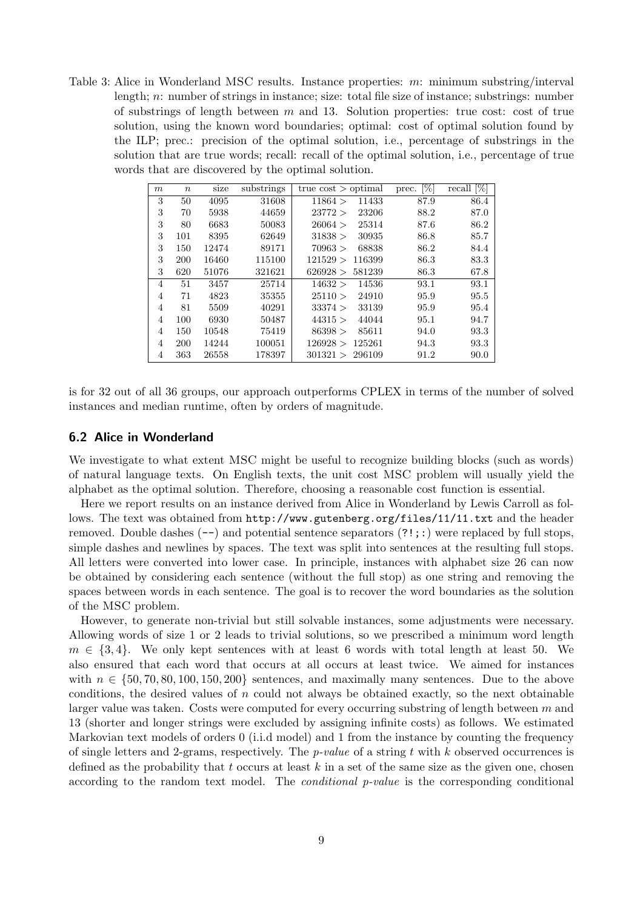Table 3: Alice in Wonderland MSC results. Instance properties: m: minimum substring/interval length; n: number of strings in instance; size: total file size of instance; substrings: number of substrings of length between  $m$  and 13. Solution properties: true cost: cost of true solution, using the known word boundaries; optimal: cost of optimal solution found by the ILP; prec.: precision of the optimal solution, i.e., percentage of substrings in the solution that are true words; recall: recall of the optimal solution, i.e., percentage of true words that are discovered by the optimal solution.

| m              | $\boldsymbol{n}$ | size  | substrings | true $cost$ > optimal | $[\%]$<br>prec. | $[\%]$<br>recall |
|----------------|------------------|-------|------------|-----------------------|-----------------|------------------|
| 3              | 50               | 4095  | 31608      | 11433<br>11864 >      | 87.9            | 86.4             |
| 3              | 70               | 5938  | 44659      | 23206<br>23772 >      | 88.2            | 87.0             |
| 3              | 80               | 6683  | 50083      | 25314<br>26064 >      | 87.6            | 86.2             |
| 3              | 101              | 8395  | 62649      | 31838 ><br>30935      | 86.8            | 85.7             |
| 3              | 150              | 12474 | 89171      | 68838<br>70963 >      | 86.2            | 84.4             |
| 3              | 200              | 16460 | 115100     | 121529 ><br>116399    | 86.3            | 83.3             |
| 3              | 620              | 51076 | 321621     | 581239<br>626928 >    | 86.3            | 67.8             |
| $\overline{4}$ | 51               | 3457  | 25714      | 14536<br>14632 >      | 93.1            | 93.1             |
| 4              | 71               | 4823  | 35355      | 24910<br>25110 >      | 95.9            | 95.5             |
| 4              | 81               | 5509  | 40291      | 33374 ><br>33139      | 95.9            | 95.4             |
| 4              | 100              | 6930  | 50487      | 44315 ><br>44044      | 95.1            | 94.7             |
| 4              | 150              | 10548 | 75419      | 86398 ><br>85611      | 94.0            | 93.3             |
| 4              | 200              | 14244 | 100051     | 126928 ><br>125261    | 94.3            | 93.3             |
| 4              | 363              | 26558 | 178397     | 301321 ><br>296109    | 91.2            | 90.0             |

is for 32 out of all 36 groups, our approach outperforms CPLEX in terms of the number of solved instances and median runtime, often by orders of magnitude.

#### 6.2 Alice in Wonderland

We investigate to what extent MSC might be useful to recognize building blocks (such as words) of natural language texts. On English texts, the unit cost MSC problem will usually yield the alphabet as the optimal solution. Therefore, choosing a reasonable cost function is essential.

Here we report results on an instance derived from Alice in Wonderland by Lewis Carroll as follows. The text was obtained from http://www.gutenberg.org/files/11/11.txt and the header removed. Double dashes  $(-)$  and potential sentence separators  $(?!;:)$  were replaced by full stops, simple dashes and newlines by spaces. The text was split into sentences at the resulting full stops. All letters were converted into lower case. In principle, instances with alphabet size 26 can now be obtained by considering each sentence (without the full stop) as one string and removing the spaces between words in each sentence. The goal is to recover the word boundaries as the solution of the MSC problem.

However, to generate non-trivial but still solvable instances, some adjustments were necessary. Allowing words of size 1 or 2 leads to trivial solutions, so we prescribed a minimum word length  $m \in \{3, 4\}$ . We only kept sentences with at least 6 words with total length at least 50. We also ensured that each word that occurs at all occurs at least twice. We aimed for instances with  $n \in \{50, 70, 80, 100, 150, 200\}$  sentences, and maximally many sentences. Due to the above conditions, the desired values of  $n$  could not always be obtained exactly, so the next obtainable larger value was taken. Costs were computed for every occurring substring of length between  $m$  and 13 (shorter and longer strings were excluded by assigning infinite costs) as follows. We estimated Markovian text models of orders 0 (i.i.d model) and 1 from the instance by counting the frequency of single letters and 2-grams, respectively. The *p-value* of a string t with k observed occurrences is defined as the probability that t occurs at least  $k$  in a set of the same size as the given one, chosen according to the random text model. The conditional p-value is the corresponding conditional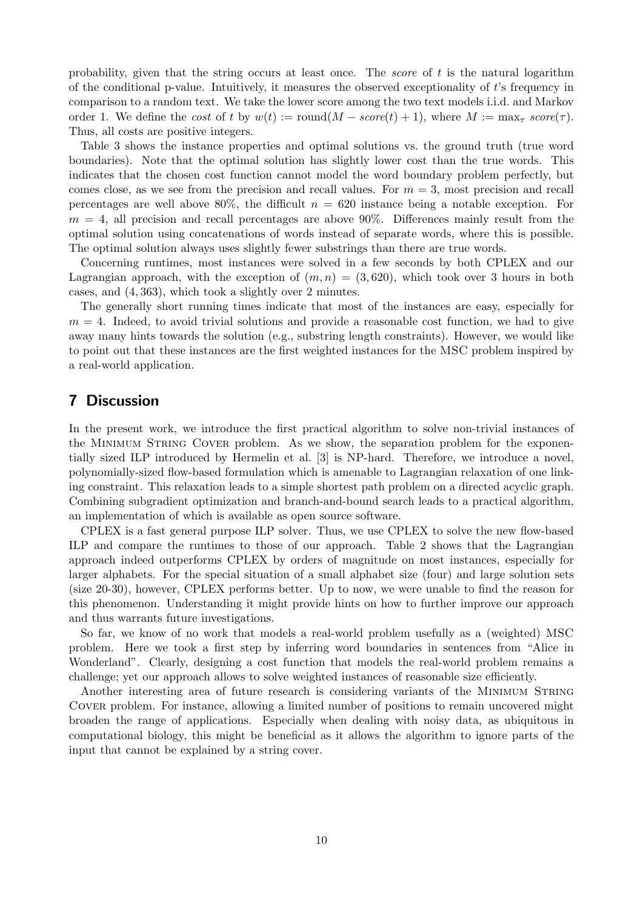probability, given that the string occurs at least once. The *score* of  $t$  is the natural logarithm of the conditional p-value. Intuitively, it measures the observed exceptionality of t's frequency in comparison to a random text. We take the lower score among the two text models i.i.d. and Markov order 1. We define the cost of t by  $w(t) := \text{round}(M - score(t) + 1)$ , where  $M := \max_{\tau} score(\tau)$ . Thus, all costs are positive integers.

Table 3 shows the instance properties and optimal solutions vs. the ground truth (true word boundaries). Note that the optimal solution has slightly lower cost than the true words. This indicates that the chosen cost function cannot model the word boundary problem perfectly, but comes close, as we see from the precision and recall values. For  $m = 3$ , most precision and recall percentages are well above 80%, the difficult  $n = 620$  instance being a notable exception. For  $m = 4$ , all precision and recall percentages are above 90%. Differences mainly result from the optimal solution using concatenations of words instead of separate words, where this is possible. The optimal solution always uses slightly fewer substrings than there are true words.

Concerning runtimes, most instances were solved in a few seconds by both CPLEX and our Lagrangian approach, with the exception of  $(m, n) = (3, 620)$ , which took over 3 hours in both cases, and (4, 363), which took a slightly over 2 minutes.

The generally short running times indicate that most of the instances are easy, especially for  $m = 4$ . Indeed, to avoid trivial solutions and provide a reasonable cost function, we had to give away many hints towards the solution (e.g., substring length constraints). However, we would like to point out that these instances are the first weighted instances for the MSC problem inspired by a real-world application.

## 7 Discussion

In the present work, we introduce the first practical algorithm to solve non-trivial instances of the Minimum String Cover problem. As we show, the separation problem for the exponentially sized ILP introduced by Hermelin et al. [3] is NP-hard. Therefore, we introduce a novel, polynomially-sized flow-based formulation which is amenable to Lagrangian relaxation of one linking constraint. This relaxation leads to a simple shortest path problem on a directed acyclic graph. Combining subgradient optimization and branch-and-bound search leads to a practical algorithm, an implementation of which is available as open source software.

CPLEX is a fast general purpose ILP solver. Thus, we use CPLEX to solve the new flow-based ILP and compare the runtimes to those of our approach. Table 2 shows that the Lagrangian approach indeed outperforms CPLEX by orders of magnitude on most instances, especially for larger alphabets. For the special situation of a small alphabet size (four) and large solution sets (size 20-30), however, CPLEX performs better. Up to now, we were unable to find the reason for this phenomenon. Understanding it might provide hints on how to further improve our approach and thus warrants future investigations.

So far, we know of no work that models a real-world problem usefully as a (weighted) MSC problem. Here we took a first step by inferring word boundaries in sentences from "Alice in Wonderland". Clearly, designing a cost function that models the real-world problem remains a challenge; yet our approach allows to solve weighted instances of reasonable size efficiently.

Another interesting area of future research is considering variants of the MINIMUM STRING Cover problem. For instance, allowing a limited number of positions to remain uncovered might broaden the range of applications. Especially when dealing with noisy data, as ubiquitous in computational biology, this might be beneficial as it allows the algorithm to ignore parts of the input that cannot be explained by a string cover.